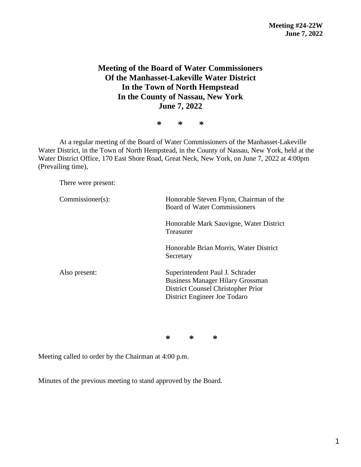## **Meeting of the Board of Water Commissioners Of the Manhasset-Lakeville Water District In the Town of North Hempstead In the County of Nassau, New York June 7, 2022**

**\* \* \***

At a regular meeting of the Board of Water Commissioners of the Manhasset-Lakeville Water District, in the Town of North Hempstead, in the County of Nassau, New York, held at the Water District Office, 170 East Shore Road, Great Neck, New York, on June 7, 2022 at 4:00pm (Prevailing time),

There were present:

| $Commissioner(s)$ : | Honorable Steven Flynn, Chairman of the<br><b>Board of Water Commissioners</b>                                                                   |  |  |
|---------------------|--------------------------------------------------------------------------------------------------------------------------------------------------|--|--|
|                     | Honorable Mark Sauvigne, Water District<br>Treasurer                                                                                             |  |  |
|                     | Honorable Brian Morris, Water District<br>Secretary                                                                                              |  |  |
| Also present:       | Superintendent Paul J. Schrader<br><b>Business Manager Hilary Grossman</b><br>District Counsel Christopher Prior<br>District Engineer Joe Todaro |  |  |

**\* \* \***

Meeting called to order by the Chairman at 4:00 p.m.

Minutes of the previous meeting to stand approved by the Board.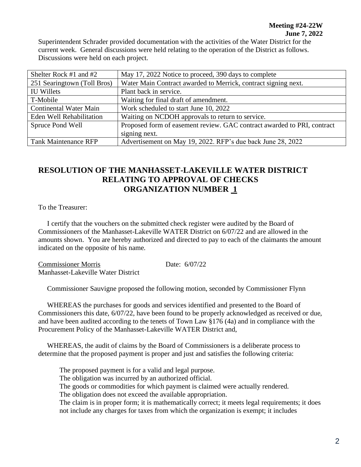Superintendent Schrader provided documentation with the activities of the Water District for the current week. General discussions were held relating to the operation of the District as follows. Discussions were held on each project.

| Shelter Rock #1 and #2        | May 17, 2022 Notice to proceed, 390 days to complete                    |  |
|-------------------------------|-------------------------------------------------------------------------|--|
| 251 Searingtown (Toll Bros)   | Water Main Contract awarded to Merrick, contract signing next.          |  |
| <b>IU Willets</b>             | Plant back in service.                                                  |  |
| T-Mobile                      | Waiting for final draft of amendment.                                   |  |
| <b>Continental Water Main</b> | Work scheduled to start June 10, 2022                                   |  |
| Eden Well Rehabilitation      | Waiting on NCDOH approvals to return to service.                        |  |
| Spruce Pond Well              | Proposed form of easement review. GAC contract awarded to PRI, contract |  |
|                               | signing next.                                                           |  |
| <b>Tank Maintenance RFP</b>   | Advertisement on May 19, 2022. RFP's due back June 28, 2022             |  |

## **RESOLUTION OF THE MANHASSET-LAKEVILLE WATER DISTRICT RELATING TO APPROVAL OF CHECKS ORGANIZATION NUMBER 1**

To the Treasurer:

 I certify that the vouchers on the submitted check register were audited by the Board of Commissioners of the Manhasset-Lakeville WATER District on 6/07/22 and are allowed in the amounts shown. You are hereby authorized and directed to pay to each of the claimants the amount indicated on the opposite of his name.

Commissioner Morris Date: 6/07/22 Manhasset-Lakeville Water District

Commissioner Sauvigne proposed the following motion, seconded by Commissioner Flynn

 WHEREAS the purchases for goods and services identified and presented to the Board of Commissioners this date, 6/07/22, have been found to be properly acknowledged as received or due, and have been audited according to the tenets of Town Law §176 (4a) and in compliance with the Procurement Policy of the Manhasset-Lakeville WATER District and,

 WHEREAS, the audit of claims by the Board of Commissioners is a deliberate process to determine that the proposed payment is proper and just and satisfies the following criteria:

The proposed payment is for a valid and legal purpose.

The obligation was incurred by an authorized official.

The goods or commodities for which payment is claimed were actually rendered.

The obligation does not exceed the available appropriation.

The claim is in proper form; it is mathematically correct; it meets legal requirements; it does not include any charges for taxes from which the organization is exempt; it includes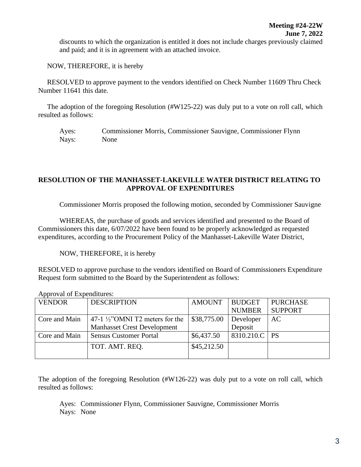discounts to which the organization is entitled it does not include charges previously claimed and paid; and it is in agreement with an attached invoice.

NOW, THEREFORE, it is hereby

 RESOLVED to approve payment to the vendors identified on Check Number 11609 Thru Check Number 11641 this date.

 The adoption of the foregoing Resolution (#W125-22) was duly put to a vote on roll call, which resulted as follows:

Ayes: Commissioner Morris, Commissioner Sauvigne, Commissioner Flynn Nays: None

## **RESOLUTION OF THE MANHASSET-LAKEVILLE WATER DISTRICT RELATING TO APPROVAL OF EXPENDITURES**

Commissioner Morris proposed the following motion, seconded by Commissioner Sauvigne

WHEREAS, the purchase of goods and services identified and presented to the Board of Commissioners this date, 6/07/2022 have been found to be properly acknowledged as requested expenditures, according to the Procurement Policy of the Manhasset-Lakeville Water District,

NOW, THEREFORE, it is hereby

RESOLVED to approve purchase to the vendors identified on Board of Commissioners Expenditure Request form submitted to the Board by the Superintendent as follows:

| <b>VENDOR</b> | <b>DESCRIPTION</b>                         | AMOUNT      | <b>BUDGET</b>   | <b>PURCHASE</b> |  |
|---------------|--------------------------------------------|-------------|-----------------|-----------------|--|
|               |                                            |             | <b>NUMBER</b>   | <b>SUPPORT</b>  |  |
| Core and Main | 47-1 $\frac{1}{2}$ "OMNI T2 meters for the | \$38,775.00 | Developer       | AC              |  |
|               | <b>Manhasset Crest Development</b>         |             | Deposit         |                 |  |
| Core and Main | <b>Sensus Customer Portal</b>              | \$6,437.50  | 8310.210.C   PS |                 |  |
|               | TOT. AMT. REO.                             | \$45,212.50 |                 |                 |  |
|               |                                            |             |                 |                 |  |

Approval of Expenditures:

The adoption of the foregoing Resolution (#W126-22) was duly put to a vote on roll call, which resulted as follows:

Ayes: Commissioner Flynn, Commissioner Sauvigne, Commissioner Morris Nays: None